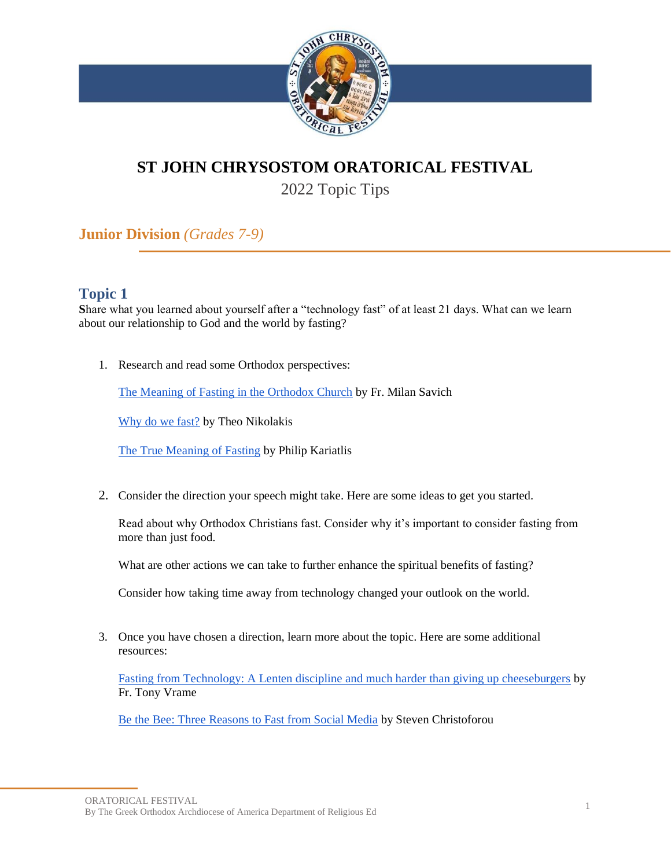

# **ST JOHN CHRYSOSTOM ORATORICAL FESTIVAL**

2022 Topic Tips

**Junior Division** *(Grades 7-9)*

# **Topic 1**

**S**hare what you learned about yourself after a "technology fast" of at least 21 days. What can we learn about our relationship to God and the world by fasting?

1. Research and read some Orthodox perspectives:

[The Meaning of Fasting in the Orthodox Church](http://ww1.antiochian.org/node/50791) by Fr. Milan Savich

[Why do we fast?](https://www.goarch.org/-/why-do-we-fast-) by Theo Nikolakis

[The True Meaning of Fasting](https://publicorthodoxy.org/2018/02/17/true-meaning-of-fasting/) by Philip Kariatlis

2. Consider the direction your speech might take. Here are some ideas to get you started.

Read about why Orthodox Christians fast. Consider why it's important to consider fasting from more than just food.

What are other actions we can take to further enhance the spiritual benefits of fasting?

Consider how taking time away from technology changed your outlook on the world.

3. Once you have chosen a direction, learn more about the topic. Here are some additional resources:

[Fasting from Technology: A Lenten discipline and much harder than giving up cheeseburgers](https://www.faithandsafety.org/blog-post/-/blogs/fasting-from-technology-a-lenten-discipline-and-much-harder-than-giving-up-cheeseburgers-) by Fr. Tony Vrame

[Be the Bee: Three Reasons to Fast from Social Media](https://www.youtube.com/watch?v=iGoDozQZ7LA) by Steven Christoforou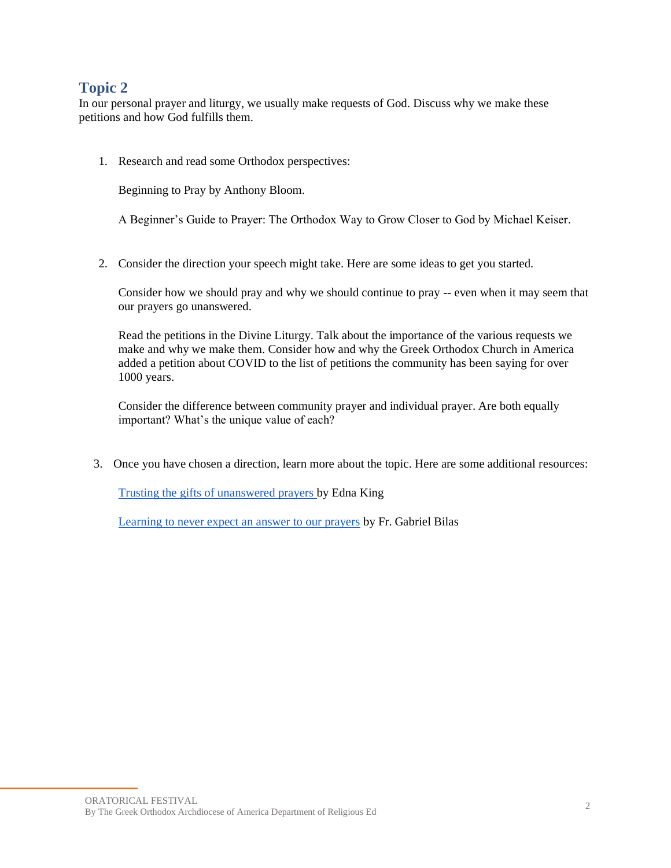In our personal prayer and liturgy, we usually make requests of God. Discuss why we make these petitions and how God fulfills them.

1. Research and read some Orthodox perspectives:

Beginning to Pray by Anthony Bloom.

A Beginner's Guide to Prayer: The Orthodox Way to Grow Closer to God by Michael Keiser.

2. Consider the direction your speech might take. Here are some ideas to get you started.

Consider how we should pray and why we should continue to pray -- even when it may seem that our prayers go unanswered.

Read the petitions in the Divine Liturgy. Talk about the importance of the various requests we make and why we make them. Consider how and why the Greek Orthodox Church in America added a petition about COVID to the list of petitions the community has been saying for over 1000 years.

Consider the difference between community prayer and individual prayer. Are both equally important? What's the unique value of each?

3. Once you have chosen a direction, learn more about the topic. Here are some additional resources:

[Trusting the gifts of unanswered prayers b](https://myocn.net/trusting-the-gifts-of-unanswered-prayers/)y Edna King

[Learning to never expect an answer to our prayers](http://www.st-marymagdalene.org/parish-blog/2020/1/28/learning-to-never-expect-an-answer-to-our-prayers) by Fr. Gabriel Bilas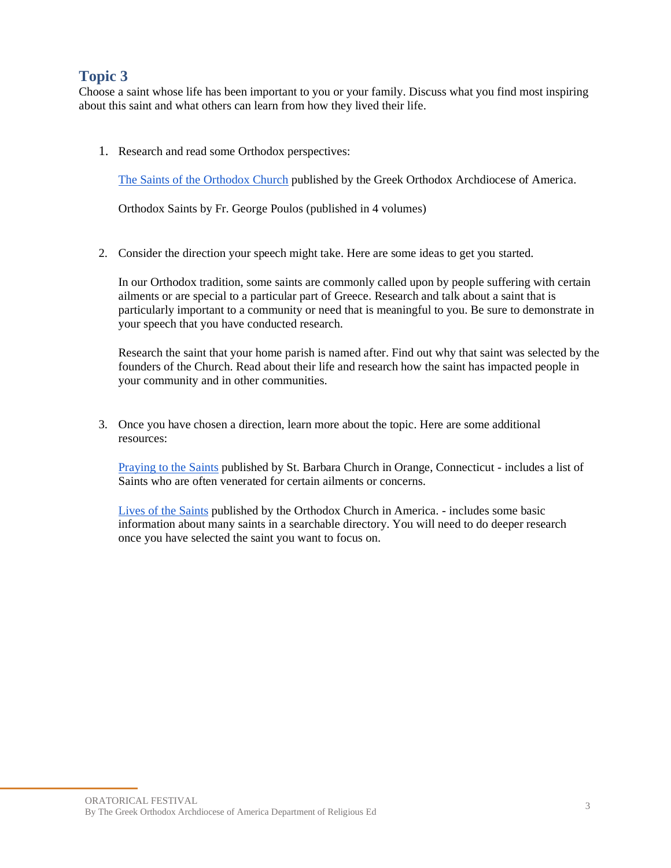Choose a saint whose life has been important to you or your family. Discuss what you find most inspiring about this saint and what others can learn from how they lived their life.

1. Research and read some Orthodox perspectives:

[The Saints of the Orthodox Church](https://www.goarch.org/-/the-saints-of-the-orthodox-church) published by the Greek Orthodox Archdiocese of America.

Orthodox Saints by Fr. George Poulos (published in 4 volumes)

2. Consider the direction your speech might take. Here are some ideas to get you started.

In our Orthodox tradition, some saints are commonly called upon by people suffering with certain ailments or are special to a particular part of Greece. Research and talk about a saint that is particularly important to a community or need that is meaningful to you. Be sure to demonstrate in your speech that you have conducted research.

Research the saint that your home parish is named after. Find out why that saint was selected by the founders of the Church. Read about their life and research how the saint has impacted people in your community and in other communities.

3. Once you have chosen a direction, learn more about the topic. Here are some additional resources:

[Praying to the Saints](https://www.saintbarbara.org/growing_in_christ/praying_to_the_saints) published by St. Barbara Church in Orange, Connecticut - includes a list of Saints who are often venerated for certain ailments or concerns.

[Lives of the Saints](https://www.oca.org/saints/lives) published by the Orthodox Church in America. - includes some basic information about many saints in a searchable directory. You will need to do deeper research once you have selected the saint you want to focus on.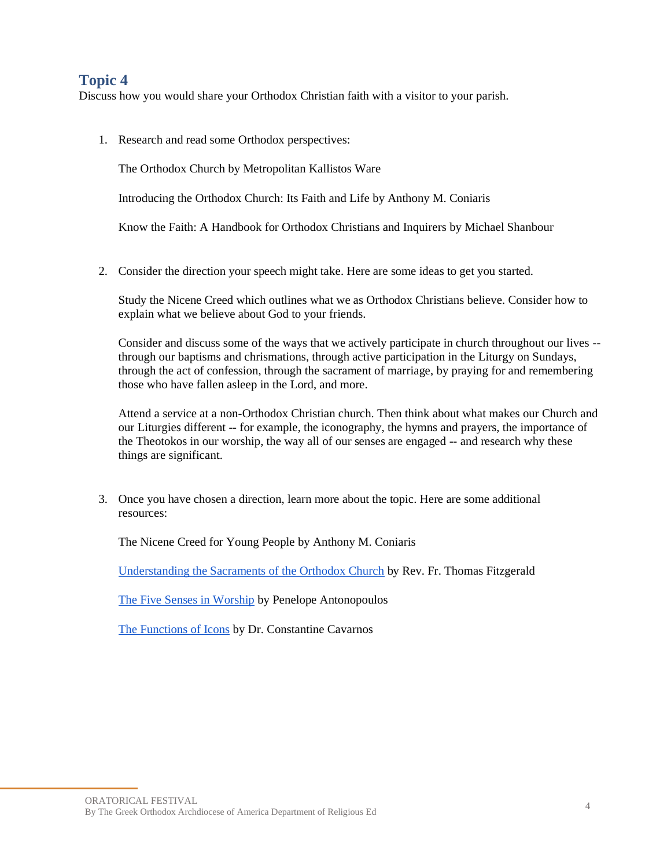Discuss how you would share your Orthodox Christian faith with a visitor to your parish.

1. Research and read some Orthodox perspectives:

The Orthodox Church by Metropolitan Kallistos Ware

Introducing the Orthodox Church: Its Faith and Life by Anthony M. Coniaris

Know the Faith: A Handbook for Orthodox Christians and Inquirers by Michael Shanbour

2. Consider the direction your speech might take. Here are some ideas to get you started.

Study the Nicene Creed which outlines what we as Orthodox Christians believe. Consider how to explain what we believe about God to your friends.

Consider and discuss some of the ways that we actively participate in church throughout our lives - through our baptisms and chrismations, through active participation in the Liturgy on Sundays, through the act of confession, through the sacrament of marriage, by praying for and remembering those who have fallen asleep in the Lord, and more.

Attend a service at a non-Orthodox Christian church. Then think about what makes our Church and our Liturgies different -- for example, the iconography, the hymns and prayers, the importance of the Theotokos in our worship, the way all of our senses are engaged -- and research why these things are significant.

3. Once you have chosen a direction, learn more about the topic. Here are some additional resources:

The Nicene Creed for Young People by Anthony M. Coniaris

[Understanding the Sacraments of the Orthodox Church](https://www.goarch.org/-/the-sacraments) by Rev. Fr. Thomas Fitzgerald

[The Five Senses in Worship](https://blogs.depaul.edu/dmm/2013/01/22/the-five-senses-in-worship/) by Penelope Antonopoulos

[The Functions of Icons](http://orthodoxinfo.com/general/icon_function.aspx) by Dr. Constantine Cavarnos

ORATORICAL FESTIVAL By The Greek Orthodox Archdiocese of America Department of Religious Ed <sup>4</sup>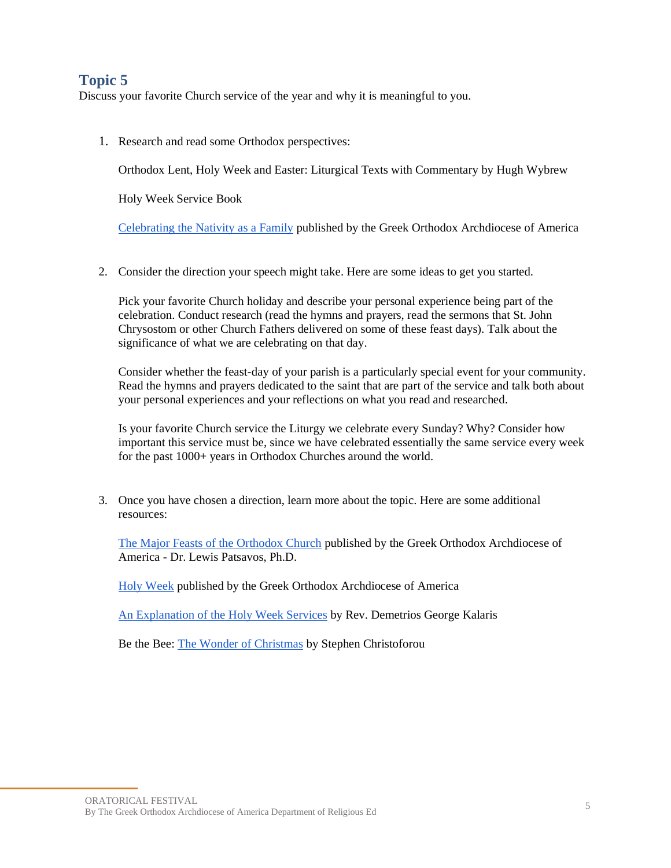Discuss your favorite Church service of the year and why it is meaningful to you.

1. Research and read some Orthodox perspectives:

Orthodox Lent, Holy Week and Easter: Liturgical Texts with Commentary by Hugh Wybrew

Holy Week Service Book

[Celebrating the Nativity as a Family](https://www.goarch.org/-/celebrating-the-nativity-as-a-family) published by the Greek Orthodox Archdiocese of America

2. Consider the direction your speech might take. Here are some ideas to get you started.

Pick your favorite Church holiday and describe your personal experience being part of the celebration. Conduct research (read the hymns and prayers, read the sermons that St. John Chrysostom or other Church Fathers delivered on some of these feast days). Talk about the significance of what we are celebrating on that day.

Consider whether the feast-day of your parish is a particularly special event for your community. Read the hymns and prayers dedicated to the saint that are part of the service and talk both about your personal experiences and your reflections on what you read and researched.

Is your favorite Church service the Liturgy we celebrate every Sunday? Why? Consider how important this service must be, since we have celebrated essentially the same service every week for the past  $1000+$  years in Orthodox Churches around the world.

3. Once you have chosen a direction, learn more about the topic. Here are some additional resources:

[The Major Feasts of the Orthodox Church](https://www.goarch.org/-/the-major-feasts-of-the-church) published by the Greek Orthodox Archdiocese of America - Dr. Lewis Patsavos, Ph.D.

[Holy Week](https://www.goarch.org/holyweek) published by the Greek Orthodox Archdiocese of America

[An Explanation of the Holy Week Services](https://holytrinitynr.org/online-resources/about-holy-week-services) by Rev. Demetrios George Kalaris

Be the Bee: [The Wonder of Christmas](https://www.goarch.org/-/the-wonder-of-christmas) by Stephen Christoforou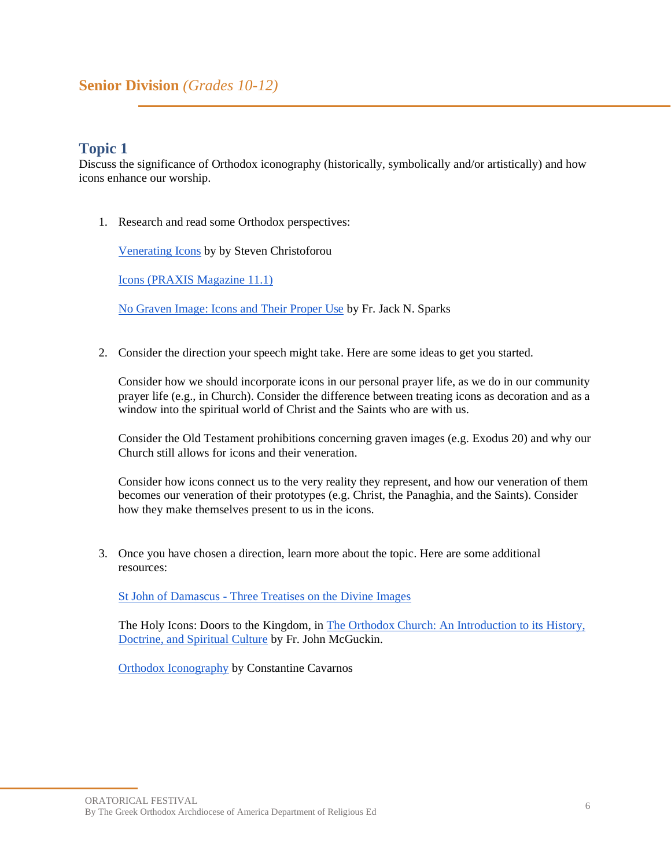## **Senior Division** *(Grades 10-12)*

## **Topic 1**

Discuss the significance of Orthodox iconography (historically, symbolically and/or artistically) and how icons enhance our worship.

1. Research and read some Orthodox perspectives:

[Venerating Icons](https://www.goarch.org/-/venerating-icons) by by Steven Christoforou

[Icons \(PRAXIS Magazine 11.1\)](https://www.goarch.org/-/praxis-2011-volume-11-issue-1-icons?inheritRedirect=true)

[No Graven Image: Icons and Their Proper Use](http://ww1.antiochian.org/content/no-graven-image-icons-and-their-proper-use) by Fr. Jack N. Sparks

2. Consider the direction your speech might take. Here are some ideas to get you started.

Consider how we should incorporate icons in our personal prayer life, as we do in our community prayer life (e.g., in Church). Consider the difference between treating icons as decoration and as a window into the spiritual world of Christ and the Saints who are with us.

Consider the Old Testament prohibitions concerning graven images (e.g. Exodus 20) and why our Church still allows for icons and their veneration.

Consider how icons connect us to the very reality they represent, and how our veneration of them becomes our veneration of their prototypes (e.g. Christ, the Panaghia, and the Saints). Consider how they make themselves present to us in the icons.

3. Once you have chosen a direction, learn more about the topic. Here are some additional resources:

St John of Damascus - [Three Treatises on the Divine Images](https://www.amazon.com/Treatises-Vladimirs-Seminary-Popular-Patristics/dp/0881412457/ref=sr_1_3?crid=1JACCOR2144QO&dchild=1&keywords=three+treatises+on+the+divine+images&qid=1635900969&sprefix=three+treatises+on+the+%2Caps%2C191&sr=8-3)

The Holy Icons: Doors to the Kingdom, in The Orthodox Church: An Introduction to its History, [Doctrine, and Spiritual Culture](https://www.amazon.com/gp/product/B002M78EL6/ref=dbs_a_def_rwt_hsch_vapi_tkin_p1_i7) by Fr. John McGuckin.

**[Orthodox Iconography](https://www.amazon.com/Orthodox-Iconography-Constantine-Cavarnos/dp/0914744372) by Constantine Cavarnos** 

ORATORICAL FESTIVAL By The Greek Orthodox Archdiocese of America Department of Religious Ed <sup>6</sup>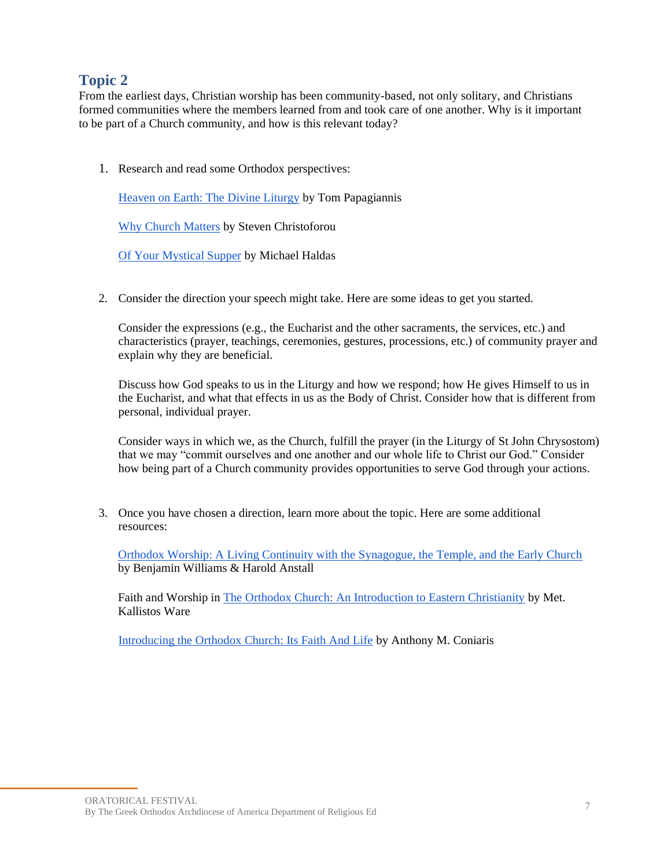From the earliest days, Christian worship has been community-based, not only solitary, and Christians formed communities where the members learned from and took care of one another. Why is it important to be part of a Church community, and how is this relevant today?

1. Research and read some Orthodox perspectives:

[Heaven on Earth: The Divine Liturgy](https://orthodoxmarketplace.com/heaven-on-earth-the-divine-liturgy-zine-student/) by Tom Papagiannis

[Why Church Matters](https://www.youtube.com/watch?v=T-4aG3h5i5Y) by Steven Christoforou

[Of Your Mystical Supper](https://orthodoxmarketplace.com/of-your-mystical-supper-eucharist-zine-student/) by Michael Haldas

2. Consider the direction your speech might take. Here are some ideas to get you started.

Consider the expressions (e.g., the Eucharist and the other sacraments, the services, etc.) and characteristics (prayer, teachings, ceremonies, gestures, processions, etc.) of community prayer and explain why they are beneficial.

Discuss how God speaks to us in the Liturgy and how we respond; how He gives Himself to us in the Eucharist, and what that effects in us as the Body of Christ. Consider how that is different from personal, individual prayer.

Consider ways in which we, as the Church, fulfill the prayer (in the Liturgy of St John Chrysostom) that we may "commit ourselves and one another and our whole life to Christ our God." Consider how being part of a Church community provides opportunities to serve God through your actions.

3. Once you have chosen a direction, learn more about the topic. Here are some additional resources:

[Orthodox Worship: A Living Continuity with the Synagogue, the Temple, and the Early Church](https://www.amazon.com/Orthodox-Worship-Living-Continuity-Synagogue/dp/1944967540/ref=pd_lpo_1?pd_rd_i=1944967540&psc=1) by Benjamin Williams & Harold Anstall

Faith and Worship i[n The Orthodox Church: An Introduction to Eastern Christianity](https://www.amazon.com/Orthodox-Church-Introduction-Eastern-Christianity-ebook/dp/B002XHNNHA/ref=sr_1_3?crid=7K6AZSVH4RAH&dchild=1&keywords=the+orthodox+church+by+kallistos+ware&qid=1635907146&s=books&sprefix=orthodox+church+kallist%2Cstripbooks%2C78&sr=1-3) by Met. Kallistos Ware

[Introducing the Orthodox Church: Its Faith And Life](https://www.amazon.com/Introducing-Orthodox-Church-Faith-Life/dp/1933654082) by Anthony M. Coniaris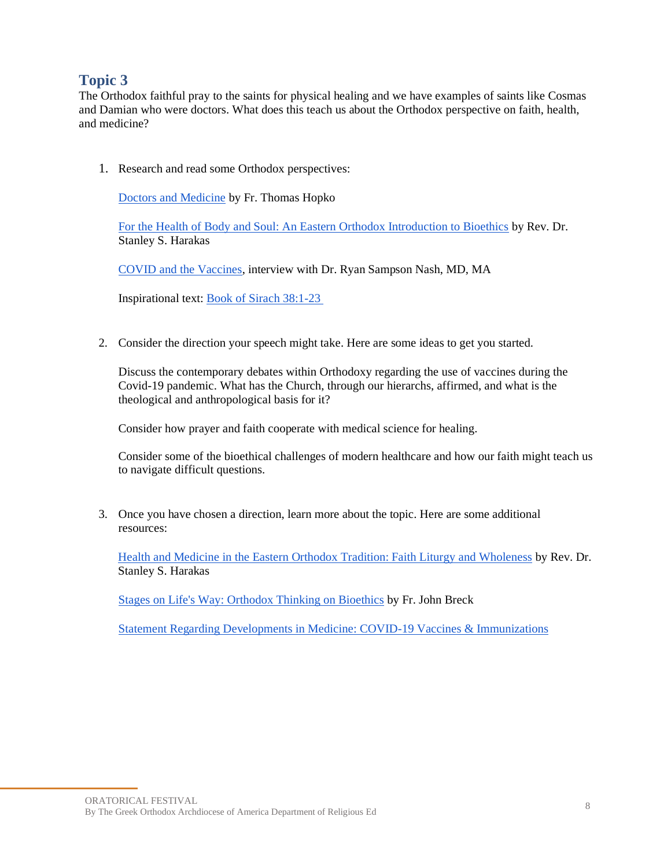The Orthodox faithful pray to the saints for physical healing and we have examples of saints like Cosmas and Damian who were doctors. What does this teach us about the Orthodox perspective on faith, health, and medicine?

1. Research and read some Orthodox perspectives:

[Doctors and Medicine](https://www.ancientfaith.com/podcasts/hopko/doctors_and_medicine) by Fr. Thomas Hopko

[For the Health of Body and Soul: An Eastern Orthodox Introduction to Bioethics](https://www.goarch.org/-/for-the-health-of-body-and-soul-an-eastern-orthodox-introduction-to-bioethics) by Rev. Dr. Stanley S. Harakas

[COVID and the Vaccines,](https://www.ancientfaith.com/podcasts/sost/covid_and_the_vaccines?fbclid=IwAR2JywDB5fD3TIUtXD1ucsrd5jWITzkpFiVVlWjlfl-Nsxi1JgGxLg60Hqw) interview with Dr. Ryan Sampson Nash, MD, MA

Inspirational text: [Book of Sirach 38:1-23](https://www.biblegateway.com/passage/?search=Sirach+38&version=NRSV) 

2. Consider the direction your speech might take. Here are some ideas to get you started.

Discuss the contemporary debates within Orthodoxy regarding the use of vaccines during the Covid-19 pandemic. What has the Church, through our hierarchs, affirmed, and what is the theological and anthropological basis for it?

Consider how prayer and faith cooperate with medical science for healing.

Consider some of the bioethical challenges of modern healthcare and how our faith might teach us to navigate difficult questions.

3. Once you have chosen a direction, learn more about the topic. Here are some additional resources:

[Health and Medicine in the Eastern Orthodox Tradition: Faith Liturgy and Wholeness](https://www.amazon.com/Health-Medicine-Eastern-Orthodox-Tradition/dp/082450934X) by Rev. Dr. Stanley S. Harakas

[Stages on Life's Way: Orthodox Thinking on Bioethics](https://www.amazon.com/gp/product/B0084FS04Q/ref=dbs_a_def_rwt_hsch_vapi_tkin_p1_i1) by Fr. John Breck

[Statement Regarding Developments in Medicine: COVID-19 Vaccines & Immunizations](https://www.goarch.org/-/vaccine-statement?inheritRedirect=true)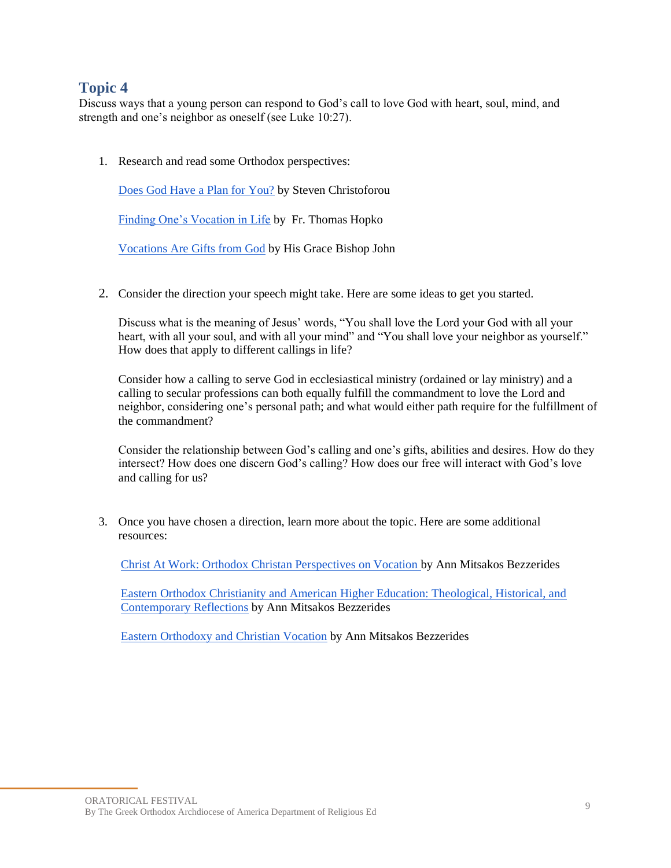Discuss ways that a young person can respond to God's call to love God with heart, soul, mind, and strength and one's neighbor as oneself (see Luke 10:27).

1. Research and read some Orthodox perspectives:

[Does God Have a Plan for You?](https://www.faithandsafety.org/web/greek-orthodox-archdiocese-of-america/-/be-the-bee-146-does-god-have-a-plan-for-you-w-anna-karos-?inheritRedirect=true) by Steven Christoforou

[Finding One's Vocation in Life](https://www.oca.org/parish-ministry/theology/finding-ones-vocation-in-life) by Fr. Thomas Hopko

[Vocations Are Gifts from God](http://ww1.antiochian.org/vocations-are-gifts-god) by His Grace Bishop John

2. Consider the direction your speech might take. Here are some ideas to get you started.

Discuss what is the meaning of Jesus' words, "You shall love the Lord your God with all your heart, with all your soul, and with all your mind" and "You shall love your neighbor as yourself." How does that apply to different callings in life?

Consider how a calling to serve God in ecclesiastical ministry (ordained or lay ministry) and a calling to secular professions can both equally fulfill the commandment to love the Lord and neighbor, considering one's personal path; and what would either path require for the fulfillment of the commandment?

Consider the relationship between God's calling and one's gifts, abilities and desires. How do they intersect? How does one discern God's calling? How does our free will interact with God's love and calling for us?

3. Once you have chosen a direction, learn more about the topic. Here are some additional resources:

[Christ At Work: Orthodox Christan Perspectives on Vocation b](https://www.amazon.com/Christ-At-Work-Orthodox-Perspectives/dp/1885652879/ref=sr_1_1?ie=UTF8&qid=1513700173&sr=8)y Ann Mitsakos Bezzerides

[Eastern Orthodox Christianity and American Higher Education: Theological, Historical, and](https://www.amazon.com/Eastern-Orthodox-Christianity-American-Education/dp/0268101264/ref=sr_1_1?s=books&ie=UTF8&qid=1513700213&sr=1)  [Contemporary Reflections](https://www.amazon.com/Eastern-Orthodox-Christianity-American-Education/dp/0268101264/ref=sr_1_1?s=books&ie=UTF8&qid=1513700213&sr=1) by Ann Mitsakos Bezzerides

[Eastern Orthodoxy and Christian Vocation](http://www.hchc.edu/assets/files/OVM/EasternOrthodoxy&ChristianVocation.pdf) by Ann Mitsakos Bezzerides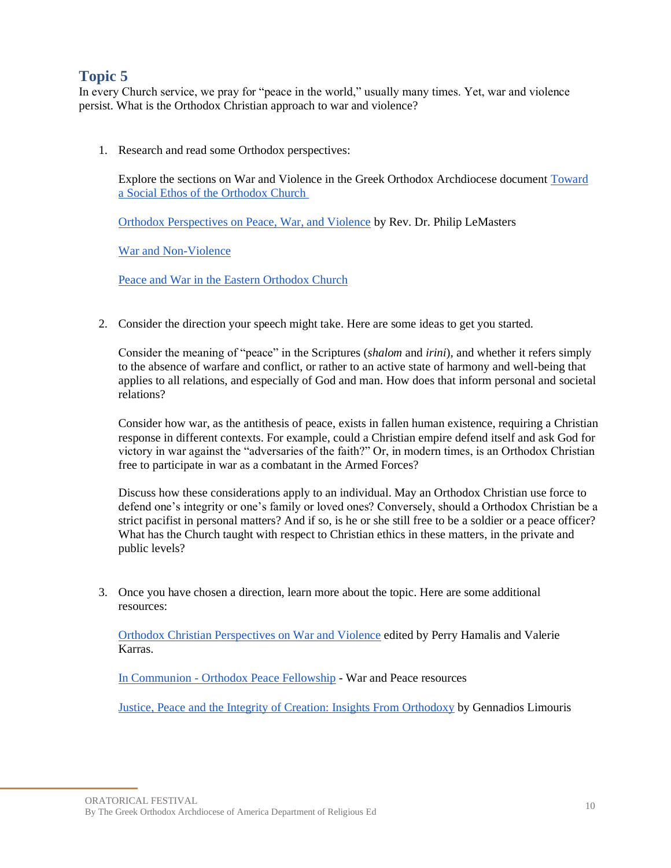In every Church service, we pray for "peace in the world," usually many times. Yet, war and violence persist. What is the Orthodox Christian approach to war and violence?

1. Research and read some Orthodox perspectives:

Explore the sections on War and Violence in the Greek Orthodox Archdiocese document [Toward](https://www.goarch.org/social-ethos)  [a Social Ethos of the Orthodox Church](https://www.goarch.org/social-ethos)

[Orthodox Perspectives on Peace, War, and Violence](https://www.ancientfaith.com/podcasts/svsvoices/orthodox_perspectives_on_peace_war_and_violence) by Rev. Dr. Philip LeMasters

[War and Non-Violence](https://www.oca.org/questions/society/war-and-non-violence)

[Peace and War in the Eastern Orthodox Church](https://www.stgeorgecathedral.net/peace-and-war-in-the-orthodox-churc)

2. Consider the direction your speech might take. Here are some ideas to get you started.

Consider the meaning of "peace" in the Scriptures (*shalom* and *irini*), and whether it refers simply to the absence of warfare and conflict, or rather to an active state of harmony and well-being that applies to all relations, and especially of God and man. How does that inform personal and societal relations?

Consider how war, as the antithesis of peace, exists in fallen human existence, requiring a Christian response in different contexts. For example, could a Christian empire defend itself and ask God for victory in war against the "adversaries of the faith?" Or, in modern times, is an Orthodox Christian free to participate in war as a combatant in the Armed Forces?

Discuss how these considerations apply to an individual. May an Orthodox Christian use force to defend one's integrity or one's family or loved ones? Conversely, should a Orthodox Christian be a strict pacifist in personal matters? And if so, is he or she still free to be a soldier or a peace officer? What has the Church taught with respect to Christian ethics in these matters, in the private and public levels?

3. Once you have chosen a direction, learn more about the topic. Here are some additional resources:

[Orthodox Christian Perspectives on War and Violence](https://www.amazon.com/Orthodox-Christian-Perspectives-Perry-Hamalis/dp/0268102775/ref=tmm_hrd_swatch_0?_encoding=UTF8&qid=&sr=) edited by Perry Hamalis and Valerie Karras.

In Communion - [Orthodox Peace Fellowship](https://incommunion.org/war-peace-resources/) - War and Peace resources

[Justice, Peace and the Integrity of Creation:](https://www.amazon.com/Justice-Peace-Integrity-Creation-Orthodoxy/dp/2825409790) Insights From Orthodoxy by Gennadios Limouris